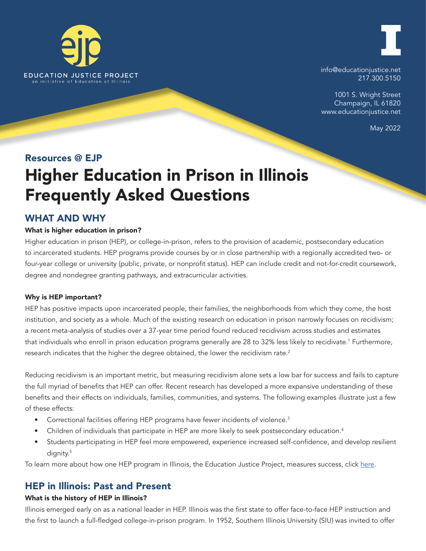



info@educationjustice.net 217.300.5150

1001 S. Wright Street Champaign, IL 61820 www.educationjustice.net

May 2022

# Resources @ EJP

# Higher Education in Prison in Illinois Frequently Asked Questions

# WHAT AND WHY

# What is higher education in prison?

Higher education in prison (HEP), or college-in-prison, refers to the provision of academic, postsecondary education to incarcerated students. HEP programs provide courses by or in close partnership with a regionally accredited two- or four-year college or university (public, private, or nonprofit status). HEP can include credit and not-for-credit coursework, degree and nondegree granting pathways, and extracurricular activities.

# Why is HEP important?

HEP has positive impacts upon incarcerated people, their families, the neighborhoods from which they come, the host institution, and society as a whole. Much of the existing research on education in prison narrowly focuses on recidivism; a recent meta-analysis of studies over a 37-year time period found reduced recidivism across studies and estimates that individuals who enroll in prison education programs generally are 28 to 32% less likely to recidivate.<sup>1</sup> Furthermore, research indicates that the higher the degree obtained, the lower the recidivism rate.<sup>2</sup>

Reducing recidivism is an important metric, but measuring recidivism alone sets a low bar for success and fails to capture the full myriad of benefits that HEP can offer. Recent research has developed a more expansive understanding of these benefits and their effects on individuals, families, communities, and systems. The following examples illustrate just a few of these effects:

- Correctional facilities offering HEP programs have fewer incidents of violence.<sup>3</sup>
- Children of individuals that participate in HEP are more likely to seek postsecondary education.<sup>4</sup>
- Students participating in HEP feel more empowered, experience increased self-confidence, and develop resilient dignity.<sup>5</sup>

To learn more about how one HEP program in Illinois, the Education Justice Project, measures success, click [here](https://educationjustice.net/wp-content/uploads/2022/02/One_Pager_-_13_Higher_education_programs.pdf).

# HEP in Illinois: Past and Present

# What is the history of HEP in Illinois?

Illinois emerged early on as a national leader in HEP. Illinois was the first state to offer face-to-face HEP instruction and the first to launch a full-fledged college-in-prison program. In 1952, Southern Illinois University (SIU) was invited to offer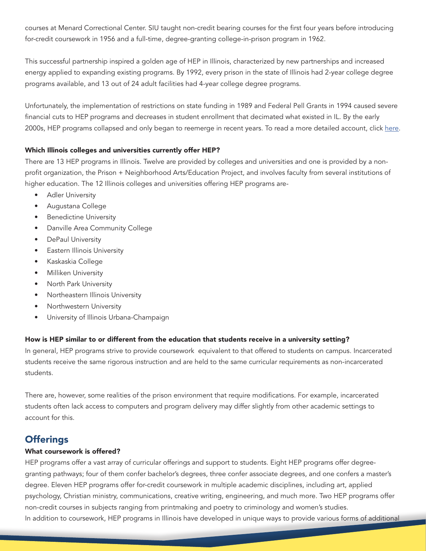courses at Menard Correctional Center. SIU taught non-credit bearing courses for the first four years before introducing for-credit coursework in 1956 and a full-time, degree-granting college-in-prison program in 1962.

This successful partnership inspired a golden age of HEP in Illinois, characterized by new partnerships and increased energy applied to expanding existing programs. By 1992, every prison in the state of Illinois had 2-year college degree programs available, and 13 out of 24 adult facilities had 4-year college degree programs.

Unfortunately, the implementation of restrictions on state funding in 1989 and Federal Pell Grants in 1994 caused severe financial cuts to HEP programs and decreases in student enrollment that decimated what existed in IL. By the early 2000s, HEP programs collapsed and only began to reemerge in recent years. To read a more detailed account, click [here](https://www.bpichicago.org/wp-content/uploads/2022/03/BPI-2022-HEP-Report_F_REV-3.pdf).

# Which Illinois colleges and universities currently offer HEP?

There are 13 HEP programs in Illinois. Twelve are provided by colleges and universities and one is provided by a nonprofit organization, the Prison + Neighborhood Arts/Education Project, and involves faculty from several institutions of higher education. The 12 Illinois colleges and universities offering HEP programs are-

- **Adler University**
- Augustana College
- Benedictine University
- Danville Area Community College
- DePaul University
- **Eastern Illinois University**
- Kaskaskia College
- Milliken University
- North Park University
- Northeastern Illinois University
- Northwestern University
- University of Illinois Urbana-Champaign

# How is HEP similar to or different from the education that students receive in a university setting?

In general, HEP programs strive to provide coursework equivalent to that offered to students on campus. Incarcerated students receive the same rigorous instruction and are held to the same curricular requirements as non-incarcerated students.

There are, however, some realities of the prison environment that require modifications. For example, incarcerated students often lack access to computers and program delivery may differ slightly from other academic settings to account for this.

# **Offerings**

# What coursework is offered?

HEP programs offer a vast array of curricular offerings and support to students. Eight HEP programs offer degreegranting pathways; four of them confer bachelor's degrees, three confer associate degrees, and one confers a master's degree. Eleven HEP programs offer for-credit coursework in multiple academic disciplines, including art, applied psychology, Christian ministry, communications, creative writing, engineering, and much more. Two HEP programs offer non-credit courses in subjects ranging from printmaking and poetry to criminology and women's studies. In addition to coursework, HEP programs in Illinois have developed in unique ways to provide various forms of additional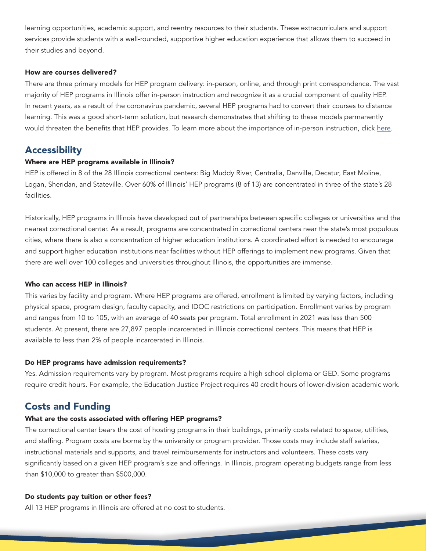learning opportunities, academic support, and reentry resources to their students. These extracurriculars and support services provide students with a well-rounded, supportive higher education experience that allows them to succeed in their studies and beyond.

#### How are courses delivered?

There are three primary models for HEP program delivery: in-person, online, and through print correspondence. The vast majority of HEP programs in Illinois offer in-person instruction and recognize it as a crucial component of quality HEP. In recent years, as a result of the coronavirus pandemic, several HEP programs had to convert their courses to distance learning. This was a good short-term solution, but research demonstrates that shifting to these models permanently would threaten the benefits that HEP provides. To learn more about the importance of in-person instruction, click [here.](https://educationjustice.net/wp-content/uploads/2021/02/Resources@EJP-In-Person-Education.pdf)

# **Accessibility**

#### Where are HEP programs available in Illinois?

HEP is offered in 8 of the 28 Illinois correctional centers: Big Muddy River, Centralia, Danville, Decatur, East Moline, Logan, Sheridan, and Stateville. Over 60% of Illinois' HEP programs (8 of 13) are concentrated in three of the state's 28 facilities.

Historically, HEP programs in Illinois have developed out of partnerships between specific colleges or universities and the nearest correctional center. As a result, programs are concentrated in correctional centers near the state's most populous cities, where there is also a concentration of higher education institutions. A coordinated effort is needed to encourage and support higher education institutions near facilities without HEP offerings to implement new programs. Given that there are well over 100 colleges and universities throughout Illinois, the opportunities are immense.

#### Who can access HEP in Illinois?

This varies by facility and program. Where HEP programs are offered, enrollment is limited by varying factors, including physical space, program design, faculty capacity, and IDOC restrictions on participation. Enrollment varies by program and ranges from 10 to 105, with an average of 40 seats per program. Total enrollment in 2021 was less than 500 students. At present, there are 27,897 people incarcerated in Illinois correctional centers. This means that HEP is available to less than 2% of people incarcerated in Illinois.

#### Do HEP programs have admission requirements?

Yes. Admission requirements vary by program. Most programs require a high school diploma or GED. Some programs require credit hours. For example, the Education Justice Project requires 40 credit hours of lower-division academic work.

# Costs and Funding

#### What are the costs associated with offering HEP programs?

The correctional center bears the cost of hosting programs in their buildings, primarily costs related to space, utilities, and staffing. Program costs are borne by the university or program provider. Those costs may include staff salaries, instructional materials and supports, and travel reimbursements for instructors and volunteers. These costs vary significantly based on a given HEP program's size and offerings. In Illinois, program operating budgets range from less than \$10,000 to greater than \$500,000.

#### Do students pay tuition or other fees?

All 13 HEP programs in Illinois are offered at no cost to students.